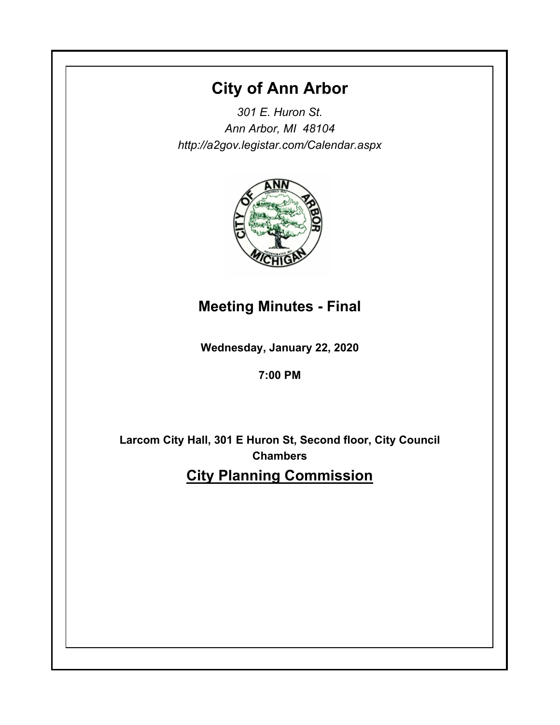# **City of Ann Arbor**

*301 E. Huron St. Ann Arbor, MI 48104 http://a2gov.legistar.com/Calendar.aspx*



## **Meeting Minutes - Final**

**Wednesday, January 22, 2020**

**7:00 PM**

**Larcom City Hall, 301 E Huron St, Second floor, City Council Chambers City Planning Commission**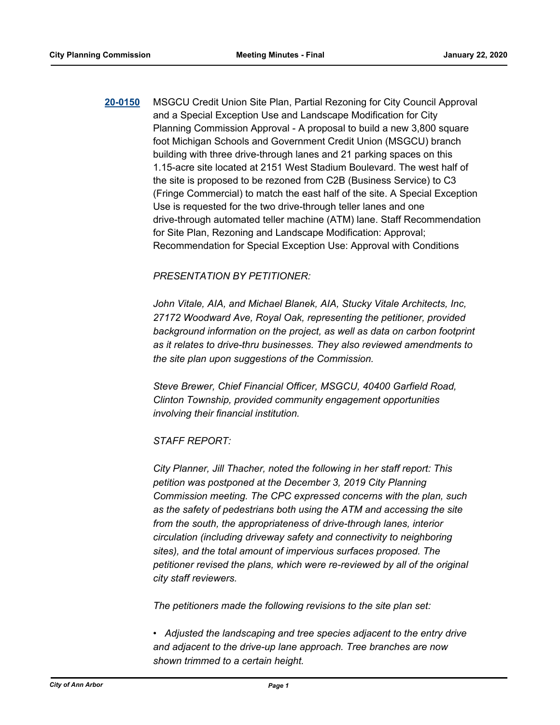**[20-0150](http://a2gov.legistar.com/gateway.aspx?M=L&ID=24186)** MSGCU Credit Union Site Plan, Partial Rezoning for City Council Approval and a Special Exception Use and Landscape Modification for City Planning Commission Approval - A proposal to build a new 3,800 square foot Michigan Schools and Government Credit Union (MSGCU) branch building with three drive-through lanes and 21 parking spaces on this 1.15-acre site located at 2151 West Stadium Boulevard. The west half of the site is proposed to be rezoned from C2B (Business Service) to C3 (Fringe Commercial) to match the east half of the site. A Special Exception Use is requested for the two drive-through teller lanes and one drive-through automated teller machine (ATM) lane. Staff Recommendation for Site Plan, Rezoning and Landscape Modification: Approval; Recommendation for Special Exception Use: Approval with Conditions

## *PRESENTATION BY PETITIONER:*

*John Vitale, AIA, and Michael Blanek, AIA, Stucky Vitale Architects, Inc, 27172 Woodward Ave, Royal Oak, representing the petitioner, provided background information on the project, as well as data on carbon footprint as it relates to drive-thru businesses. They also reviewed amendments to the site plan upon suggestions of the Commission.*

*Steve Brewer, Chief Financial Officer, MSGCU, 40400 Garfield Road, Clinton Township, provided community engagement opportunities involving their financial institution.* 

## *STAFF REPORT:*

*City Planner, Jill Thacher, noted the following in her staff report: This petition was postponed at the December 3, 2019 City Planning Commission meeting. The CPC expressed concerns with the plan, such as the safety of pedestrians both using the ATM and accessing the site from the south, the appropriateness of drive-through lanes, interior circulation (including driveway safety and connectivity to neighboring sites), and the total amount of impervious surfaces proposed. The petitioner revised the plans, which were re-reviewed by all of the original city staff reviewers.*

*The petitioners made the following revisions to the site plan set:*

*• Adjusted the landscaping and tree species adjacent to the entry drive and adjacent to the drive-up lane approach. Tree branches are now shown trimmed to a certain height.*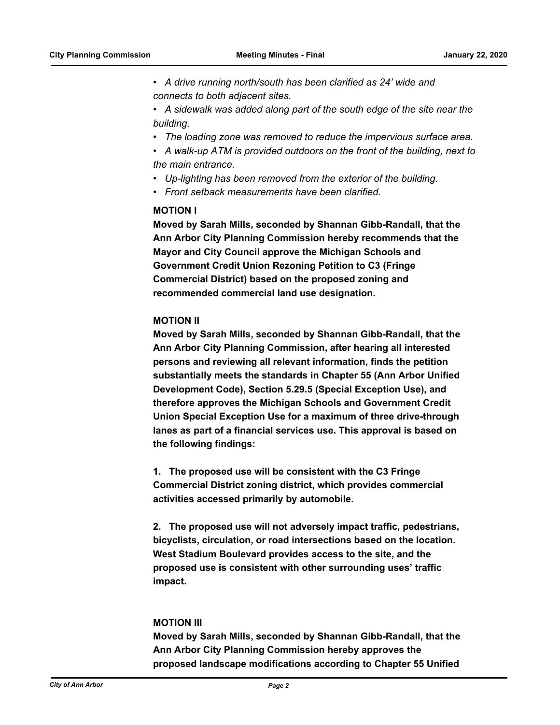*• A drive running north/south has been clarified as 24' wide and connects to both adjacent sites.* 

*• A sidewalk was added along part of the south edge of the site near the building.* 

*• The loading zone was removed to reduce the impervious surface area.* 

*• A walk-up ATM is provided outdoors on the front of the building, next to the main entrance.* 

- *Up-lighting has been removed from the exterior of the building.*
- *Front setback measurements have been clarified.*

## **MOTION I**

**Moved by Sarah Mills, seconded by Shannan Gibb-Randall, that the Ann Arbor City Planning Commission hereby recommends that the Mayor and City Council approve the Michigan Schools and Government Credit Union Rezoning Petition to C3 (Fringe Commercial District) based on the proposed zoning and recommended commercial land use designation.**

#### **MOTION II**

**Moved by Sarah Mills, seconded by Shannan Gibb-Randall, that the Ann Arbor City Planning Commission, after hearing all interested persons and reviewing all relevant information, finds the petition substantially meets the standards in Chapter 55 (Ann Arbor Unified Development Code), Section 5.29.5 (Special Exception Use), and therefore approves the Michigan Schools and Government Credit Union Special Exception Use for a maximum of three drive-through lanes as part of a financial services use. This approval is based on the following findings:** 

**1. The proposed use will be consistent with the C3 Fringe Commercial District zoning district, which provides commercial activities accessed primarily by automobile.** 

**2. The proposed use will not adversely impact traffic, pedestrians, bicyclists, circulation, or road intersections based on the location. West Stadium Boulevard provides access to the site, and the proposed use is consistent with other surrounding uses' traffic impact.** 

#### **MOTION III**

**Moved by Sarah Mills, seconded by Shannan Gibb-Randall, that the Ann Arbor City Planning Commission hereby approves the proposed landscape modifications according to Chapter 55 Unified**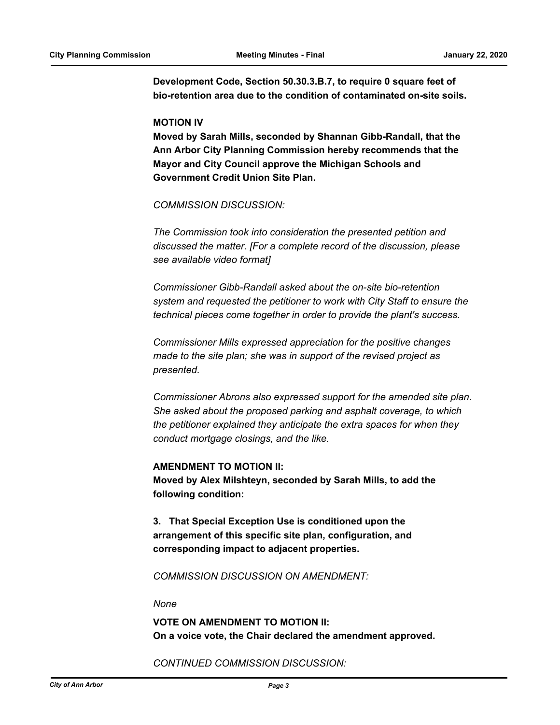**Development Code, Section 50.30.3.B.7, to require 0 square feet of bio-retention area due to the condition of contaminated on-site soils.** 

#### **MOTION IV**

**Moved by Sarah Mills, seconded by Shannan Gibb-Randall, that the Ann Arbor City Planning Commission hereby recommends that the Mayor and City Council approve the Michigan Schools and Government Credit Union Site Plan.**

*COMMISSION DISCUSSION:*

*The Commission took into consideration the presented petition and discussed the matter. [For a complete record of the discussion, please see available video format]*

*Commissioner Gibb-Randall asked about the on-site bio-retention system and requested the petitioner to work with City Staff to ensure the technical pieces come together in order to provide the plant's success.*

*Commissioner Mills expressed appreciation for the positive changes made to the site plan; she was in support of the revised project as presented.* 

*Commissioner Abrons also expressed support for the amended site plan. She asked about the proposed parking and asphalt coverage, to which the petitioner explained they anticipate the extra spaces for when they conduct mortgage closings, and the like.*

#### **AMENDMENT TO MOTION II:**

**Moved by Alex Milshteyn, seconded by Sarah Mills, to add the following condition:** 

**3. That Special Exception Use is conditioned upon the arrangement of this specific site plan, configuration, and corresponding impact to adjacent properties.**

*COMMISSION DISCUSSION ON AMENDMENT:*

## *None*

**VOTE ON AMENDMENT TO MOTION II: On a voice vote, the Chair declared the amendment approved.**

#### *CONTINUED COMMISSION DISCUSSION:*